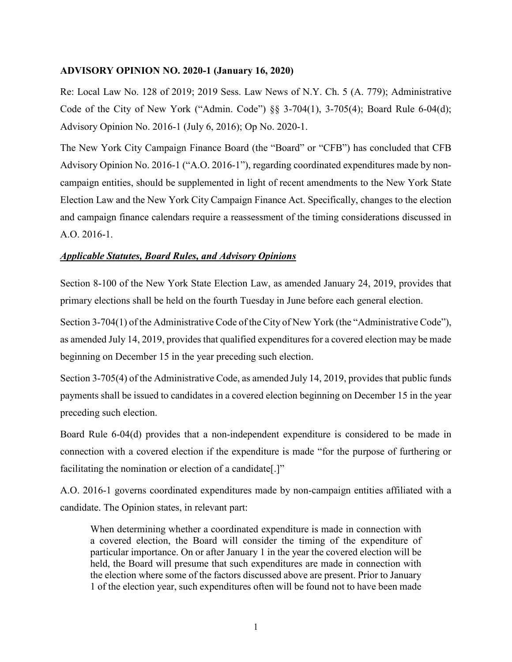## **ADVISORY OPINION NO. 2020-1 (January 16, 2020)**

Re: Local Law No. 128 of 2019; 2019 Sess. Law News of N.Y. Ch. 5 (A. 779); Administrative Code of the City of New York ("Admin. Code") §§ 3-704(1), 3-705(4); Board Rule 6-04(d); Advisory Opinion No. 2016-1 (July 6, 2016); Op No. 2020-1.

The New York City Campaign Finance Board (the "Board" or "CFB") has concluded that CFB Advisory Opinion No. 2016-1 ("A.O. 2016-1"), regarding coordinated expenditures made by noncampaign entities, should be supplemented in light of recent amendments to the New York State Election Law and the New York City Campaign Finance Act. Specifically, changes to the election and campaign finance calendars require a reassessment of the timing considerations discussed in A.O. 2016-1.

## *Applicable Statutes, Board Rules, and Advisory Opinions*

Section 8-100 of the New York State Election Law, as amended January 24, 2019, provides that primary elections shall be held on the fourth Tuesday in June before each general election.

Section 3-704(1) of the Administrative Code of the City of New York (the "Administrative Code"), as amended July 14, 2019, provides that qualified expenditures for a covered election may be made beginning on December 15 in the year preceding such election.

Section 3-705(4) of the Administrative Code, as amended July 14, 2019, provides that public funds payments shall be issued to candidates in a covered election beginning on December 15 in the year preceding such election.

Board Rule 6-04(d) provides that a non-independent expenditure is considered to be made in connection with a covered election if the expenditure is made "for the purpose of furthering or facilitating the nomination or election of a candidate[.]"

A.O. 2016-1 governs coordinated expenditures made by non-campaign entities affiliated with a candidate. The Opinion states, in relevant part:

When determining whether a coordinated expenditure is made in connection with a covered election, the Board will consider the timing of the expenditure of particular importance. On or after January 1 in the year the covered election will be held, the Board will presume that such expenditures are made in connection with the election where some of the factors discussed above are present. Prior to January 1 of the election year, such expenditures often will be found not to have been made